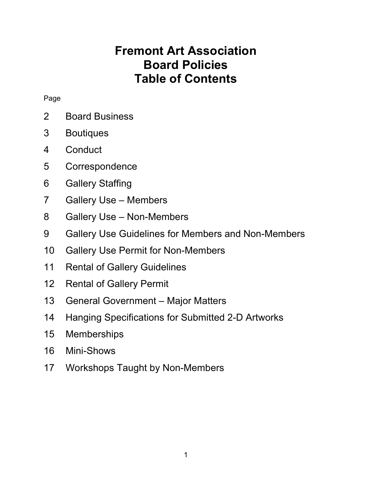## Fremont Art Association Board Policies Table of Contents

#### Page

- 2 Board Business
- 3 Boutiques
- 4 Conduct
- 5 Correspondence
- 6 Gallery Staffing
- 7 Gallery Use Members
- 8 Gallery Use Non-Members
- 9 Gallery Use Guidelines for Members and Non-Members
- 10 Gallery Use Permit for Non-Members
- 11 Rental of Gallery Guidelines
- 12 Rental of Gallery Permit
- 13 General Government Major Matters
- 14 Hanging Specifications for Submitted 2-D Artworks
- 15 Memberships
- 16 Mini-Shows
- 17 Workshops Taught by Non-Members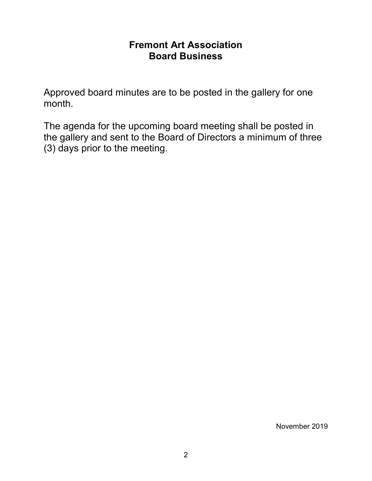### Fremont Art Association Board Business

Approved board minutes are to be posted in the gallery for one month.

The agenda for the upcoming board meeting shall be posted in the gallery and sent to the Board of Directors a minimum of three (3) days prior to the meeting.

November 2019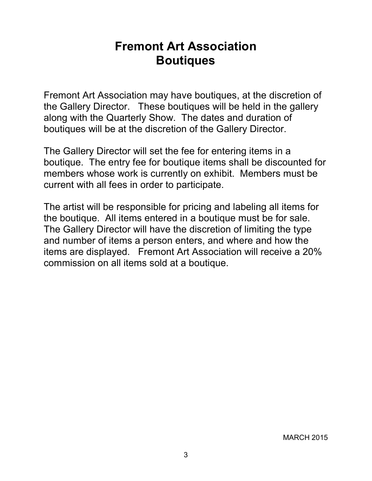## Fremont Art Association **Boutiques**

Fremont Art Association may have boutiques, at the discretion of the Gallery Director. These boutiques will be held in the gallery along with the Quarterly Show. The dates and duration of boutiques will be at the discretion of the Gallery Director.

The Gallery Director will set the fee for entering items in a boutique. The entry fee for boutique items shall be discounted for members whose work is currently on exhibit. Members must be current with all fees in order to participate.

The artist will be responsible for pricing and labeling all items for the boutique. All items entered in a boutique must be for sale. The Gallery Director will have the discretion of limiting the type and number of items a person enters, and where and how the items are displayed. Fremont Art Association will receive a 20% commission on all items sold at a boutique.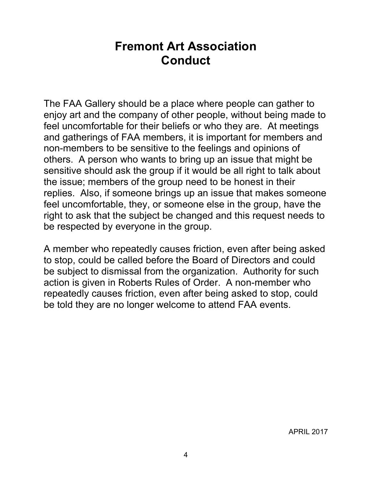### Fremont Art Association **Conduct**

The FAA Gallery should be a place where people can gather to enjoy art and the company of other people, without being made to feel uncomfortable for their beliefs or who they are. At meetings and gatherings of FAA members, it is important for members and non-members to be sensitive to the feelings and opinions of others. A person who wants to bring up an issue that might be sensitive should ask the group if it would be all right to talk about the issue; members of the group need to be honest in their replies. Also, if someone brings up an issue that makes someone feel uncomfortable, they, or someone else in the group, have the right to ask that the subject be changed and this request needs to be respected by everyone in the group.

A member who repeatedly causes friction, even after being asked to stop, could be called before the Board of Directors and could be subject to dismissal from the organization. Authority for such action is given in Roberts Rules of Order. A non-member who repeatedly causes friction, even after being asked to stop, could be told they are no longer welcome to attend FAA events.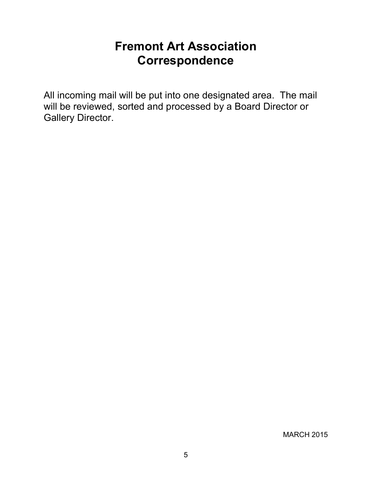## Fremont Art Association **Correspondence**

All incoming mail will be put into one designated area. The mail will be reviewed, sorted and processed by a Board Director or Gallery Director.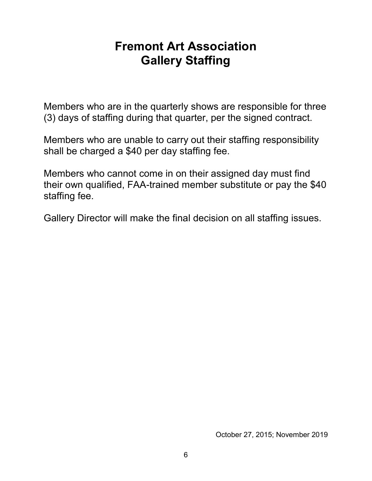## Fremont Art Association Gallery Staffing

Members who are in the quarterly shows are responsible for three (3) days of staffing during that quarter, per the signed contract.

Members who are unable to carry out their staffing responsibility shall be charged a \$40 per day staffing fee.

Members who cannot come in on their assigned day must find their own qualified, FAA-trained member substitute or pay the \$40 staffing fee.

Gallery Director will make the final decision on all staffing issues.

October 27, 2015; November 2019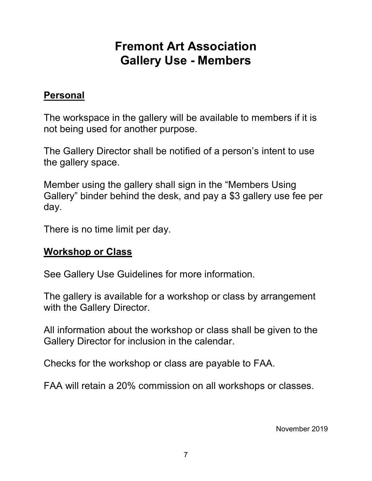# Fremont Art Association Gallery Use - Members

### Personal

The workspace in the gallery will be available to members if it is not being used for another purpose.

The Gallery Director shall be notified of a person's intent to use the gallery space.

Member using the gallery shall sign in the "Members Using Gallery" binder behind the desk, and pay a \$3 gallery use fee per day.

There is no time limit per day.

### Workshop or Class

See Gallery Use Guidelines for more information.

The gallery is available for a workshop or class by arrangement with the Gallery Director.

All information about the workshop or class shall be given to the Gallery Director for inclusion in the calendar.

Checks for the workshop or class are payable to FAA.

FAA will retain a 20% commission on all workshops or classes.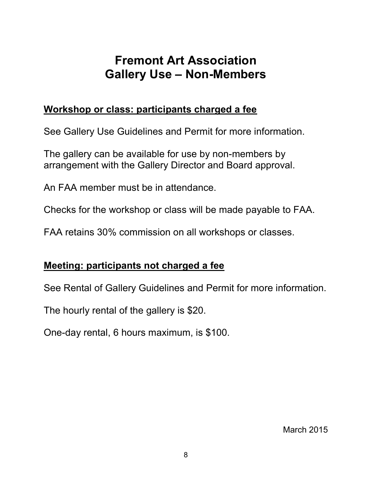# Fremont Art Association Gallery Use – Non-Members

### Workshop or class: participants charged a fee

See Gallery Use Guidelines and Permit for more information.

The gallery can be available for use by non-members by arrangement with the Gallery Director and Board approval.

An FAA member must be in attendance.

Checks for the workshop or class will be made payable to FAA.

FAA retains 30% commission on all workshops or classes.

### Meeting: participants not charged a fee

See Rental of Gallery Guidelines and Permit for more information.

The hourly rental of the gallery is \$20.

One-day rental, 6 hours maximum, is \$100.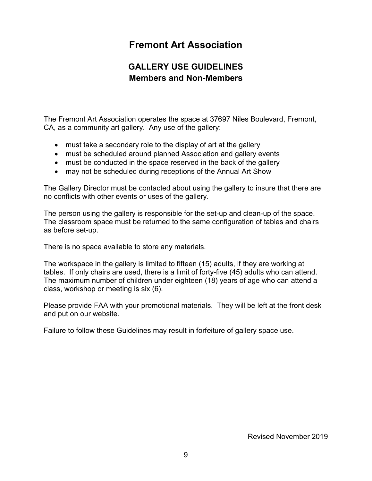### Fremont Art Association

#### GALLERY USE GUIDELINES Members and Non-Members

The Fremont Art Association operates the space at 37697 Niles Boulevard, Fremont, CA, as a community art gallery. Any use of the gallery:

- must take a secondary role to the display of art at the gallery
- must be scheduled around planned Association and gallery events
- must be conducted in the space reserved in the back of the gallery
- may not be scheduled during receptions of the Annual Art Show

The Gallery Director must be contacted about using the gallery to insure that there are no conflicts with other events or uses of the gallery.

The person using the gallery is responsible for the set-up and clean-up of the space. The classroom space must be returned to the same configuration of tables and chairs as before set-up.

There is no space available to store any materials.

The workspace in the gallery is limited to fifteen (15) adults, if they are working at tables. If only chairs are used, there is a limit of forty-five (45) adults who can attend. The maximum number of children under eighteen (18) years of age who can attend a class, workshop or meeting is six (6).

Please provide FAA with your promotional materials. They will be left at the front desk and put on our website.

Failure to follow these Guidelines may result in forfeiture of gallery space use.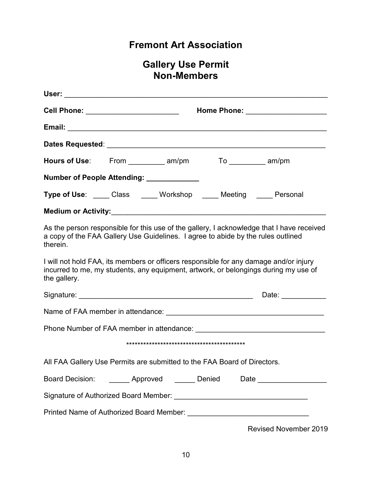### Fremont Art Association

#### Gallery Use Permit Non-Members

|                                                                                                                                                                                              | Cell Phone: __________________________<br>Home Phone: ______________________ |  |  |  |                                                                                           |
|----------------------------------------------------------------------------------------------------------------------------------------------------------------------------------------------|------------------------------------------------------------------------------|--|--|--|-------------------------------------------------------------------------------------------|
|                                                                                                                                                                                              |                                                                              |  |  |  |                                                                                           |
|                                                                                                                                                                                              |                                                                              |  |  |  |                                                                                           |
|                                                                                                                                                                                              |                                                                              |  |  |  |                                                                                           |
| Number of People Attending: ____________                                                                                                                                                     |                                                                              |  |  |  |                                                                                           |
| Type of Use: _____ Class _____ Workshop _____ Meeting _____ Personal                                                                                                                         |                                                                              |  |  |  |                                                                                           |
|                                                                                                                                                                                              |                                                                              |  |  |  |                                                                                           |
| a copy of the FAA Gallery Use Guidelines. I agree to abide by the rules outlined<br>therein.                                                                                                 |                                                                              |  |  |  | As the person responsible for this use of the gallery, I acknowledge that I have received |
| I will not hold FAA, its members or officers responsible for any damage and/or injury<br>incurred to me, my students, any equipment, artwork, or belongings during my use of<br>the gallery. |                                                                              |  |  |  |                                                                                           |
|                                                                                                                                                                                              |                                                                              |  |  |  | Date: ____________                                                                        |
|                                                                                                                                                                                              |                                                                              |  |  |  |                                                                                           |
|                                                                                                                                                                                              |                                                                              |  |  |  |                                                                                           |
|                                                                                                                                                                                              |                                                                              |  |  |  |                                                                                           |
| All FAA Gallery Use Permits are submitted to the FAA Board of Directors.                                                                                                                     |                                                                              |  |  |  |                                                                                           |
|                                                                                                                                                                                              |                                                                              |  |  |  | Board Decision: ________ Approved _______ Denied Date __________________                  |
|                                                                                                                                                                                              |                                                                              |  |  |  |                                                                                           |
|                                                                                                                                                                                              |                                                                              |  |  |  |                                                                                           |

Revised November 2019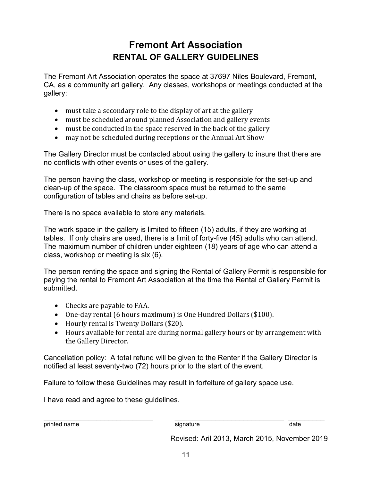### Fremont Art Association RENTAL OF GALLERY GUIDELINES

The Fremont Art Association operates the space at 37697 Niles Boulevard, Fremont, CA, as a community art gallery. Any classes, workshops or meetings conducted at the gallery:

- must take a secondary role to the display of art at the gallery
- must be scheduled around planned Association and gallery events
- must be conducted in the space reserved in the back of the gallery
- may not be scheduled during receptions or the Annual Art Show

The Gallery Director must be contacted about using the gallery to insure that there are no conflicts with other events or uses of the gallery.

The person having the class, workshop or meeting is responsible for the set-up and clean-up of the space. The classroom space must be returned to the same configuration of tables and chairs as before set-up.

There is no space available to store any materials.

The work space in the gallery is limited to fifteen (15) adults, if they are working at tables. If only chairs are used, there is a limit of forty-five (45) adults who can attend. The maximum number of children under eighteen (18) years of age who can attend a class, workshop or meeting is six (6).

The person renting the space and signing the Rental of Gallery Permit is responsible for paying the rental to Fremont Art Association at the time the Rental of Gallery Permit is submitted.

- Checks are payable to FAA.
- One-day rental (6 hours maximum) is One Hundred Dollars (\$100).
- Hourly rental is Twenty Dollars (\$20).
- Hours available for rental are during normal gallery hours or by arrangement with the Gallery Director.

Cancellation policy: A total refund will be given to the Renter if the Gallery Director is notified at least seventy-two (72) hours prior to the start of the event.

Failure to follow these Guidelines may result in forfeiture of gallery space use.

I have read and agree to these guidelines.

printed name signature signature signature date

\_\_\_\_\_\_\_\_\_\_\_\_\_\_\_\_\_\_\_\_\_\_\_\_\_\_\_ \_\_\_\_\_\_\_\_\_\_\_\_\_\_\_\_\_\_\_\_\_\_\_\_\_\_\_ \_\_\_\_\_\_\_\_\_

Revised: Aril 2013, March 2015, November 2019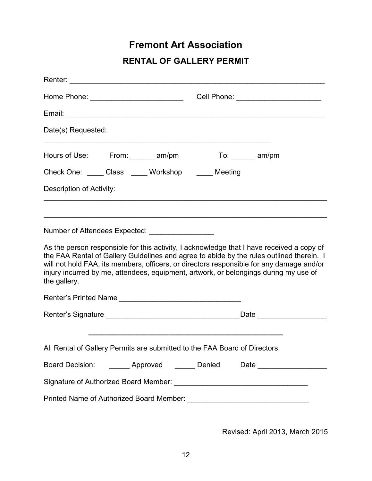### Fremont Art Association

#### RENTAL OF GALLERY PERMIT

|                                                                                                                                                                                                                                                                                                                                                                                           | Cell Phone: __________________________ |  |  |  |  |
|-------------------------------------------------------------------------------------------------------------------------------------------------------------------------------------------------------------------------------------------------------------------------------------------------------------------------------------------------------------------------------------------|----------------------------------------|--|--|--|--|
|                                                                                                                                                                                                                                                                                                                                                                                           |                                        |  |  |  |  |
| Date(s) Requested:                                                                                                                                                                                                                                                                                                                                                                        |                                        |  |  |  |  |
|                                                                                                                                                                                                                                                                                                                                                                                           |                                        |  |  |  |  |
| Check One: _____ Class _____ Workshop _____ Meeting                                                                                                                                                                                                                                                                                                                                       |                                        |  |  |  |  |
| Description of Activity:                                                                                                                                                                                                                                                                                                                                                                  |                                        |  |  |  |  |
|                                                                                                                                                                                                                                                                                                                                                                                           |                                        |  |  |  |  |
| Number of Attendees Expected: ___________________                                                                                                                                                                                                                                                                                                                                         |                                        |  |  |  |  |
| As the person responsible for this activity, I acknowledge that I have received a copy of<br>the FAA Rental of Gallery Guidelines and agree to abide by the rules outlined therein. I<br>will not hold FAA, its members, officers, or directors responsible for any damage and/or<br>injury incurred by me, attendees, equipment, artwork, or belongings during my use of<br>the gallery. |                                        |  |  |  |  |
|                                                                                                                                                                                                                                                                                                                                                                                           |                                        |  |  |  |  |
|                                                                                                                                                                                                                                                                                                                                                                                           |                                        |  |  |  |  |
|                                                                                                                                                                                                                                                                                                                                                                                           |                                        |  |  |  |  |
| All Rental of Gallery Permits are submitted to the FAA Board of Directors.                                                                                                                                                                                                                                                                                                                |                                        |  |  |  |  |
| Board Decision: _______ Approved ______ Denied                                                                                                                                                                                                                                                                                                                                            |                                        |  |  |  |  |
|                                                                                                                                                                                                                                                                                                                                                                                           |                                        |  |  |  |  |
|                                                                                                                                                                                                                                                                                                                                                                                           |                                        |  |  |  |  |

Revised: April 2013, March 2015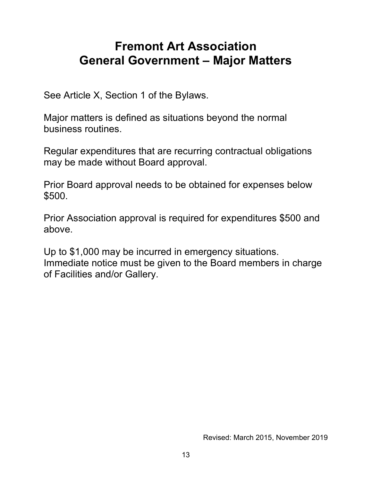## Fremont Art Association General Government – Major Matters

See Article X, Section 1 of the Bylaws.

Major matters is defined as situations beyond the normal business routines.

Regular expenditures that are recurring contractual obligations may be made without Board approval.

Prior Board approval needs to be obtained for expenses below \$500.

Prior Association approval is required for expenditures \$500 and above.

Up to \$1,000 may be incurred in emergency situations. Immediate notice must be given to the Board members in charge of Facilities and/or Gallery.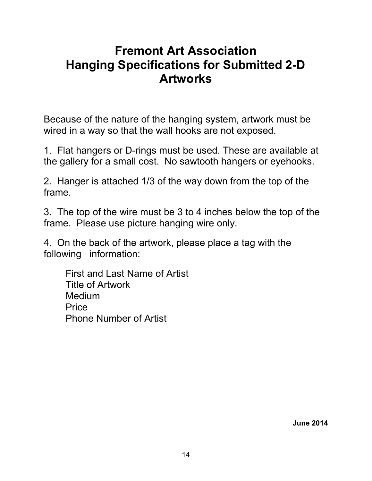## Fremont Art Association Hanging Specifications for Submitted 2-D Artworks

Because of the nature of the hanging system, artwork must be wired in a way so that the wall hooks are not exposed.

1. Flat hangers or D-rings must be used. These are available at the gallery for a small cost. No sawtooth hangers or eyehooks.

2. Hanger is attached 1/3 of the way down from the top of the frame.

3. The top of the wire must be 3 to 4 inches below the top of the frame. Please use picture hanging wire only.

4. On the back of the artwork, please place a tag with the following information:

 First and Last Name of Artist Title of Artwork Medium **Price** Phone Number of Artist

June 2014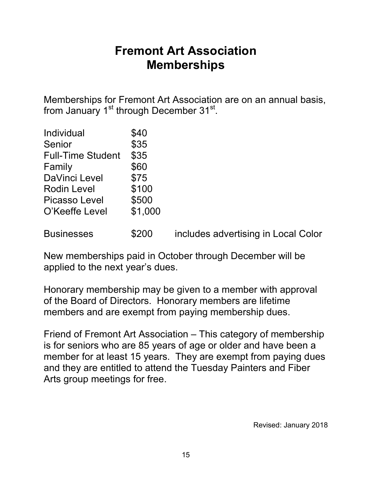## Fremont Art Association Memberships

Memberships for Fremont Art Association are on an annual basis, from January 1<sup>st</sup> through December 31<sup>st</sup>.

| Individual               | \$40    |                                     |
|--------------------------|---------|-------------------------------------|
| Senior                   | \$35    |                                     |
| <b>Full-Time Student</b> | \$35    |                                     |
| Family                   | \$60    |                                     |
| <b>DaVinci Level</b>     | \$75    |                                     |
| <b>Rodin Level</b>       | \$100   |                                     |
| <b>Picasso Level</b>     | \$500   |                                     |
| O'Keeffe Level           | \$1,000 |                                     |
|                          |         |                                     |
| <b>Businesses</b>        | \$200   | includes advertising in Local Color |

New memberships paid in October through December will be applied to the next year's dues.

Honorary membership may be given to a member with approval of the Board of Directors. Honorary members are lifetime members and are exempt from paying membership dues.

Friend of Fremont Art Association – This category of membership is for seniors who are 85 years of age or older and have been a member for at least 15 years. They are exempt from paying dues and they are entitled to attend the Tuesday Painters and Fiber Arts group meetings for free.

Revised: January 2018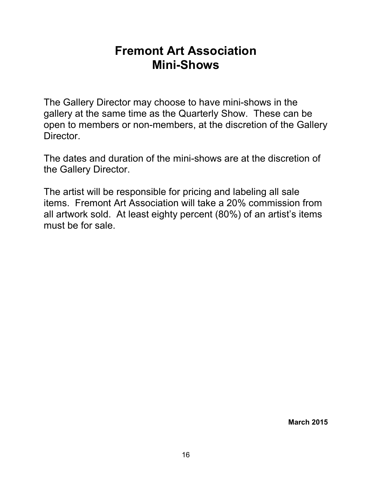### Fremont Art Association Mini-Shows

The Gallery Director may choose to have mini-shows in the gallery at the same time as the Quarterly Show. These can be open to members or non-members, at the discretion of the Gallery Director.

The dates and duration of the mini-shows are at the discretion of the Gallery Director.

The artist will be responsible for pricing and labeling all sale items. Fremont Art Association will take a 20% commission from all artwork sold. At least eighty percent (80%) of an artist's items must be for sale.

March 2015